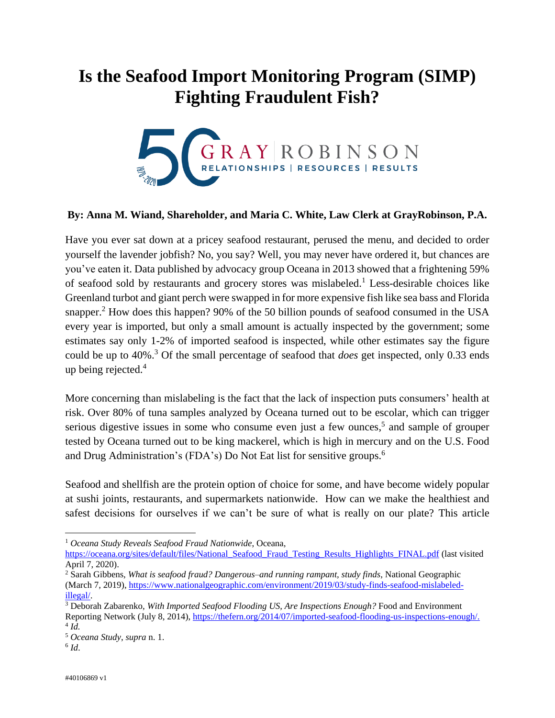## **Is the Seafood Import Monitoring Program (SIMP) Fighting Fraudulent Fish?**



## **By: Anna M. Wiand, Shareholder, and Maria C. White, Law Clerk at GrayRobinson, P.A.**

Have you ever sat down at a pricey seafood restaurant, perused the menu, and decided to order yourself the lavender jobfish? No, you say? Well, you may never have ordered it, but chances are you've eaten it. Data published by advocacy group Oceana in 2013 showed that a frightening 59% of seafood sold by restaurants and grocery stores was mislabeled.<sup>1</sup> Less-desirable choices like Greenland turbot and giant perch were swapped in for more expensive fish like sea bass and Florida snapper.<sup>2</sup> How does this happen? 90% of the 50 billion pounds of seafood consumed in the USA every year is imported, but only a small amount is actually inspected by the government; some estimates say only 1-2% of imported seafood is inspected, while other estimates say the figure could be up to 40%.<sup>3</sup> Of the small percentage of seafood that *does* get inspected, only 0.33 ends up being rejected.<sup>4</sup>

More concerning than mislabeling is the fact that the lack of inspection puts consumers' health at risk. Over 80% of tuna samples analyzed by Oceana turned out to be escolar, which can trigger serious digestive issues in some who consume even just a few ounces,<sup>5</sup> and sample of grouper tested by Oceana turned out to be king mackerel, which is high in mercury and on the U.S. Food and Drug Administration's (FDA's) Do Not Eat list for sensitive groups.<sup>6</sup>

Seafood and shellfish are the protein option of choice for some, and have become widely popular at sushi joints, restaurants, and supermarkets nationwide. How can we make the healthiest and safest decisions for ourselves if we can't be sure of what is really on our plate? This article

 $\overline{a}$ 

<sup>1</sup> *Oceana Study Reveals Seafood Fraud Nationwide*, Oceana,

[https://oceana.org/sites/default/files/National\\_Seafood\\_Fraud\\_Testing\\_Results\\_Highlights\\_FINAL.pdf](https://oceana.org/sites/default/files/National_Seafood_Fraud_Testing_Results_Highlights_FINAL.pdf) (last visited April 7, 2020).

<sup>2</sup> Sarah Gibbens, *What is seafood fraud? Dangerous–and running rampant, study finds*, National Geographic (March 7, 2019), [https://www.nationalgeographic.com/environment/2019/03/study-finds-seafood-mislabeled](https://www.nationalgeographic.com/environment/2019/03/study-finds-seafood-mislabeled-illegal/)[illegal/.](https://www.nationalgeographic.com/environment/2019/03/study-finds-seafood-mislabeled-illegal/)

<sup>3</sup> Deborah Zabarenko, *With Imported Seafood Flooding US, Are Inspections Enough?* Food and Environment Reporting Network (July 8, 2014), [https://thefern.org/2014/07/imported-seafood-flooding-us-inspections-enough/.](https://thefern.org/2014/07/imported-seafood-flooding-us-inspections-enough/) 4 *Id.*

<sup>5</sup> *Oceana Study*, *supra* n. 1.

<sup>6</sup> *Id*.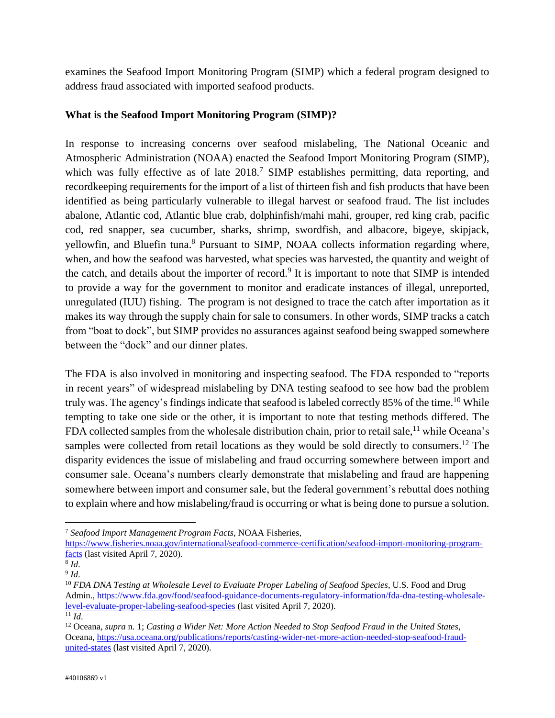examines the Seafood Import Monitoring Program (SIMP) which a federal program designed to address fraud associated with imported seafood products.

## **What is the Seafood Import Monitoring Program (SIMP)?**

In response to increasing concerns over seafood mislabeling, The National Oceanic and Atmospheric Administration (NOAA) enacted the Seafood Import Monitoring Program (SIMP), which was fully effective as of late 2018.<sup>7</sup> SIMP establishes permitting, data reporting, and recordkeeping requirements for the import of a list of thirteen fish and fish products that have been identified as being particularly vulnerable to illegal harvest or seafood fraud. The list includes abalone, Atlantic cod, Atlantic blue crab, dolphinfish/mahi mahi, grouper, red king crab, pacific cod, red snapper, sea cucumber, sharks, shrimp, swordfish, and albacore, bigeye, skipjack, yellowfin, and Bluefin tuna.<sup>8</sup> Pursuant to SIMP, NOAA collects information regarding where, when, and how the seafood was harvested, what species was harvested, the quantity and weight of the catch, and details about the importer of record.<sup>9</sup> It is important to note that SIMP is intended to provide a way for the government to monitor and eradicate instances of illegal, unreported, unregulated (IUU) fishing. The program is not designed to trace the catch after importation as it makes its way through the supply chain for sale to consumers. In other words, SIMP tracks a catch from "boat to dock", but SIMP provides no assurances against seafood being swapped somewhere between the "dock" and our dinner plates.

The FDA is also involved in monitoring and inspecting seafood. The FDA responded to "reports in recent years" of widespread mislabeling by DNA testing seafood to see how bad the problem truly was. The agency's findings indicate that seafood is labeled correctly 85% of the time.<sup>10</sup> While tempting to take one side or the other, it is important to note that testing methods differed. The FDA collected samples from the wholesale distribution chain, prior to retail sale,  $11$  while Oceana's samples were collected from retail locations as they would be sold directly to consumers.<sup>12</sup> The disparity evidences the issue of mislabeling and fraud occurring somewhere between import and consumer sale. Oceana's numbers clearly demonstrate that mislabeling and fraud are happening somewhere between import and consumer sale, but the federal government's rebuttal does nothing to explain where and how mislabeling/fraud is occurring or what is being done to pursue a solution.

 $\overline{a}$ <sup>7</sup> *Seafood Import Management Program Facts*, NOAA Fisheries,

[https://www.fisheries.noaa.gov/international/seafood-commerce-certification/seafood-import-monitoring-program](https://www.fisheries.noaa.gov/international/seafood-commerce-certification/seafood-import-monitoring-program-facts)[facts](https://www.fisheries.noaa.gov/international/seafood-commerce-certification/seafood-import-monitoring-program-facts) (last visited April 7, 2020).

<sup>8</sup> *Id*.

<sup>9</sup> *Id*.

<sup>10</sup> *FDA DNA Testing at Wholesale Level to Evaluate Proper Labeling of Seafood Species*, U.S. Food and Drug Admin., [https://www.fda.gov/food/seafood-guidance-documents-regulatory-information/fda-dna-testing-wholesale](https://www.fda.gov/food/seafood-guidance-documents-regulatory-information/fda-dna-testing-wholesale-level-evaluate-proper-labeling-seafood-species)[level-evaluate-proper-labeling-seafood-species](https://www.fda.gov/food/seafood-guidance-documents-regulatory-information/fda-dna-testing-wholesale-level-evaluate-proper-labeling-seafood-species) (last visited April 7, 2020).  $\overline{^{11}Id}$ .

<sup>12</sup> Oceana, *supra* n. 1; *Casting a Wider Net: More Action Needed to Stop Seafood Fraud in the United States*, Oceana, [https://usa.oceana.org/publications/reports/casting-wider-net-more-action-needed-stop-seafood-fraud](https://usa.oceana.org/publications/reports/casting-wider-net-more-action-needed-stop-seafood-fraud-united-states)[united-states](https://usa.oceana.org/publications/reports/casting-wider-net-more-action-needed-stop-seafood-fraud-united-states) (last visited April 7, 2020).